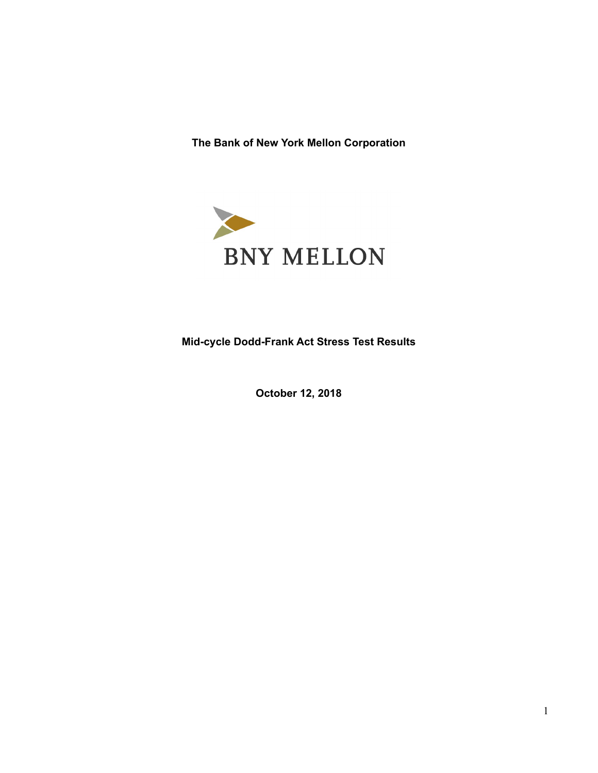**The Bank of New York Mellon Corporation** 



**Mid-cycle Dodd-Frank Act Stress Test Results** 

**October 12, 2018**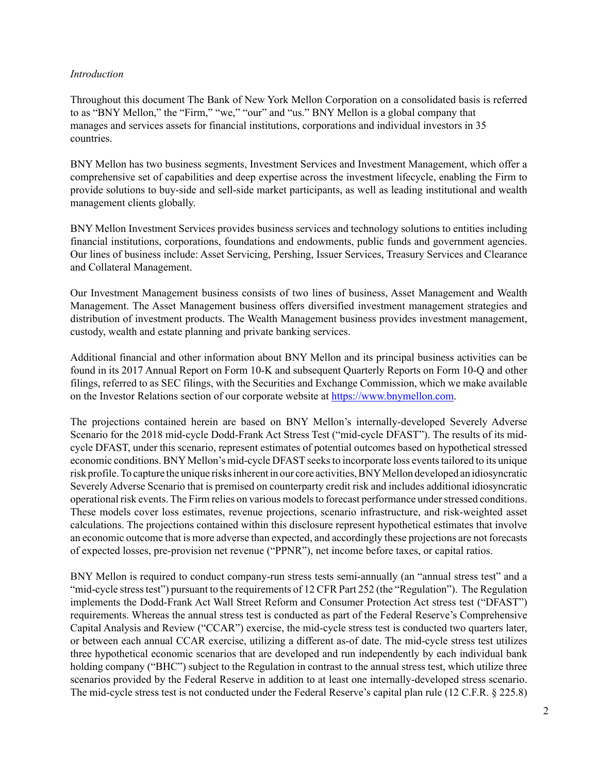# *Introduction*

Throughout this document The Bank of New York Mellon Corporation on a consolidated basis is referred to as "BNY Mellon," the "Firm," "we," "our" and "us." BNY Mellon is a global company that manages and services assets for financial institutions, corporations and individual investors in 35 countries.

BNY Mellon has two business segments, Investment Services and Investment Management, which offer a comprehensive set of capabilities and deep expertise across the investment lifecycle, enabling the Firm to provide solutions to buy-side and sell-side market participants, as well as leading institutional and wealth management clients globally.

BNY Mellon Investment Services provides business services and technology solutions to entities including financial institutions, corporations, foundations and endowments, public funds and government agencies. Our lines of business include: Asset Servicing, Pershing, Issuer Services, Treasury Services and Clearance and Collateral Management.

Our Investment Management business consists of two lines of business, Asset Management and Wealth Management. The Asset Management business offers diversified investment management strategies and distribution of investment products. The Wealth Management business provides investment management, custody, wealth and estate planning and private banking services.

Additional financial and other information about BNY Mellon and its principal business activities can be found in its 2017 Annual Report on Form 10-K and subsequent Quarterly Reports on Form 10-Q and other filings, referred to as SEC filings, with the Securities and Exchange Commission, which we make available on the Investor Relations section of our corporate website at https://www.bnymellon.com.

The projections contained herein are based on BNY Mellon's internally-developed Severely Adverse Scenario for the 2018 mid-cycle Dodd-Frank Act Stress Test ("mid-cycle DFAST"). The results of its midcycle DFAST, under this scenario, represent estimates of potential outcomes based on hypothetical stressed economic conditions. BNY Mellon's mid-cycle DFAST seeks to incorporate loss events tailored to its unique risk profile. To capture the unique risks inherent in our core activities, BNY Mellon developed an idiosyncratic Severely Adverse Scenario that is premised on counterparty credit risk and includes additional idiosyncratic operational risk events. The Firm relies on various models to forecast performance under stressed conditions. These models cover loss estimates, revenue projections, scenario infrastructure, and risk-weighted asset calculations. The projections contained within this disclosure represent hypothetical estimates that involve an economic outcome that is more adverse than expected, and accordingly these projections are not forecasts of expected losses, pre-provision net revenue ("PPNR"), net income before taxes, or capital ratios.

BNY Mellon is required to conduct company-run stress tests semi-annually (an "annual stress test" and a "mid-cycle stress test") pursuant to the requirements of 12 CFR Part 252 (the "Regulation"). The Regulation implements the Dodd-Frank Act Wall Street Reform and Consumer Protection Act stress test ("DFAST") requirements. Whereas the annual stress test is conducted as part of the Federal Reserve's Comprehensive Capital Analysis and Review ("CCAR") exercise, the mid-cycle stress test is conducted two quarters later, or between each annual CCAR exercise, utilizing a different as-of date. The mid-cycle stress test utilizes three hypothetical economic scenarios that are developed and run independently by each individual bank holding company ("BHC") subject to the Regulation in contrast to the annual stress test, which utilize three scenarios provided by the Federal Reserve in addition to at least one internally-developed stress scenario. The mid-cycle stress test is not conducted under the Federal Reserve's capital plan rule (12 C.F.R. § 225.8)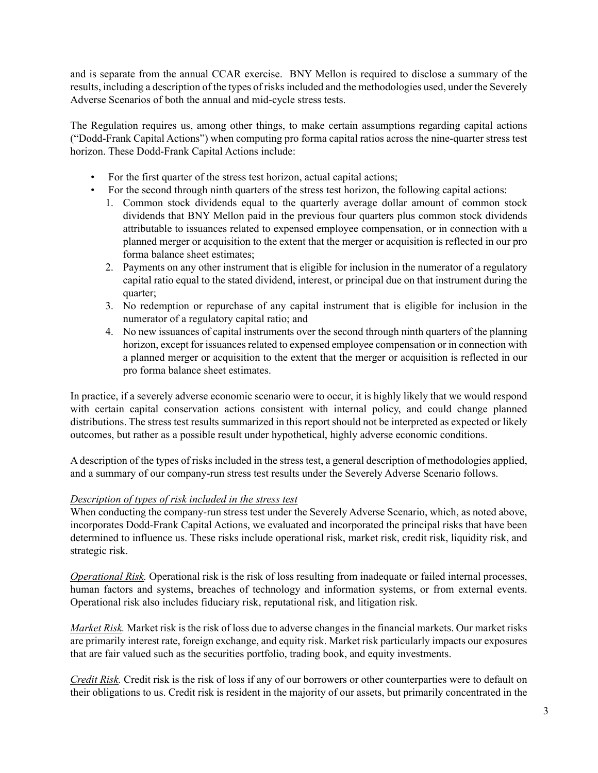and is separate from the annual CCAR exercise. BNY Mellon is required to disclose a summary of the results, including a description of the types of risks included and the methodologies used, under the Severely Adverse Scenarios of both the annual and mid-cycle stress tests.

The Regulation requires us, among other things, to make certain assumptions regarding capital actions ("Dodd-Frank Capital Actions") when computing pro forma capital ratios across the nine-quarter stress test horizon. These Dodd-Frank Capital Actions include:

- For the first quarter of the stress test horizon, actual capital actions;
- For the second through ninth quarters of the stress test horizon, the following capital actions:
	- 1. Common stock dividends equal to the quarterly average dollar amount of common stock dividends that BNY Mellon paid in the previous four quarters plus common stock dividends attributable to issuances related to expensed employee compensation, or in connection with a planned merger or acquisition to the extent that the merger or acquisition is reflected in our pro forma balance sheet estimates;
	- 2. Payments on any other instrument that is eligible for inclusion in the numerator of a regulatory capital ratio equal to the stated dividend, interest, or principal due on that instrument during the quarter;
	- 3. No redemption or repurchase of any capital instrument that is eligible for inclusion in the numerator of a regulatory capital ratio; and
	- 4. No new issuances of capital instruments over the second through ninth quarters of the planning horizon, except for issuances related to expensed employee compensation or in connection with a planned merger or acquisition to the extent that the merger or acquisition is reflected in our pro forma balance sheet estimates.

In practice, if a severely adverse economic scenario were to occur, it is highly likely that we would respond with certain capital conservation actions consistent with internal policy, and could change planned distributions. The stress test results summarized in this report should not be interpreted as expected or likely outcomes, but rather as a possible result under hypothetical, highly adverse economic conditions.

A description of the types of risks included in the stress test, a general description of methodologies applied, and a summary of our company-run stress test results under the Severely Adverse Scenario follows.

## *Description of types of risk included in the stress test*

When conducting the company-run stress test under the Severely Adverse Scenario, which, as noted above, incorporates Dodd-Frank Capital Actions, we evaluated and incorporated the principal risks that have been determined to influence us. These risks include operational risk, market risk, credit risk, liquidity risk, and strategic risk.

*Operational Risk.* Operational risk is the risk of loss resulting from inadequate or failed internal processes, human factors and systems, breaches of technology and information systems, or from external events. Operational risk also includes fiduciary risk, reputational risk, and litigation risk.

*Market Risk.* Market risk is the risk of loss due to adverse changes in the financial markets. Our market risks are primarily interest rate, foreign exchange, and equity risk. Market risk particularly impacts our exposures that are fair valued such as the securities portfolio, trading book, and equity investments.

*Credit Risk.* Credit risk is the risk of loss if any of our borrowers or other counterparties were to default on their obligations to us. Credit risk is resident in the majority of our assets, but primarily concentrated in the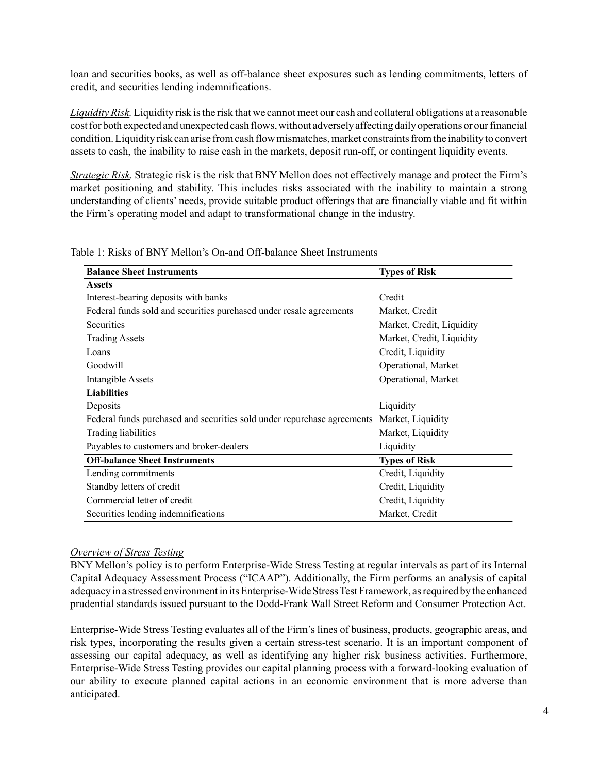loan and securities books, as well as off-balance sheet exposures such as lending commitments, letters of credit, and securities lending indemnifications.

*Liquidity Risk.* Liquidity risk is the risk that we cannot meet our cash and collateral obligations at a reasonable cost for both expected and unexpected cash flows, without adversely affecting daily operations or our financial condition. Liquidity risk can arise from cash flow mismatches, market constraints from the inability to convert assets to cash, the inability to raise cash in the markets, deposit run-off, or contingent liquidity events.

*Strategic Risk.* Strategic risk is the risk that BNY Mellon does not effectively manage and protect the Firm's market positioning and stability. This includes risks associated with the inability to maintain a strong understanding of clients' needs, provide suitable product offerings that are financially viable and fit within the Firm's operating model and adapt to transformational change in the industry.

Table 1: Risks of BNY Mellon's On-and Off-balance Sheet Instruments

| <b>Balance Sheet Instruments</b>                                                          | <b>Types of Risk</b>      |
|-------------------------------------------------------------------------------------------|---------------------------|
| <b>Assets</b>                                                                             |                           |
| Interest-bearing deposits with banks                                                      | Credit                    |
| Federal funds sold and securities purchased under resale agreements                       | Market, Credit            |
| Securities                                                                                | Market, Credit, Liquidity |
| <b>Trading Assets</b>                                                                     | Market, Credit, Liquidity |
| Loans                                                                                     | Credit, Liquidity         |
| Goodwill                                                                                  | Operational, Market       |
| <b>Intangible Assets</b>                                                                  | Operational, Market       |
| <b>Liabilities</b>                                                                        |                           |
| Deposits                                                                                  | Liquidity                 |
| Federal funds purchased and securities sold under repurchase agreements Market, Liquidity |                           |
| Trading liabilities                                                                       | Market, Liquidity         |
| Payables to customers and broker-dealers                                                  | Liquidity                 |
| <b>Off-balance Sheet Instruments</b>                                                      | <b>Types of Risk</b>      |
| Lending commitments                                                                       | Credit, Liquidity         |
| Standby letters of credit                                                                 | Credit, Liquidity         |
| Commercial letter of credit                                                               | Credit, Liquidity         |
| Securities lending indemnifications                                                       | Market, Credit            |

#### *Overview of Stress Testing*

BNY Mellon's policy is to perform Enterprise-Wide Stress Testing at regular intervals as part of its Internal Capital Adequacy Assessment Process ("ICAAP"). Additionally, the Firm performs an analysis of capital adequacy in a stressed environment in its Enterprise-Wide Stress Test Framework, as required by the enhanced prudential standards issued pursuant to the Dodd-Frank Wall Street Reform and Consumer Protection Act.

Enterprise-Wide Stress Testing evaluates all of the Firm's lines of business, products, geographic areas, and risk types, incorporating the results given a certain stress-test scenario. It is an important component of assessing our capital adequacy, as well as identifying any higher risk business activities. Furthermore, Enterprise-Wide Stress Testing provides our capital planning process with a forward-looking evaluation of our ability to execute planned capital actions in an economic environment that is more adverse than anticipated.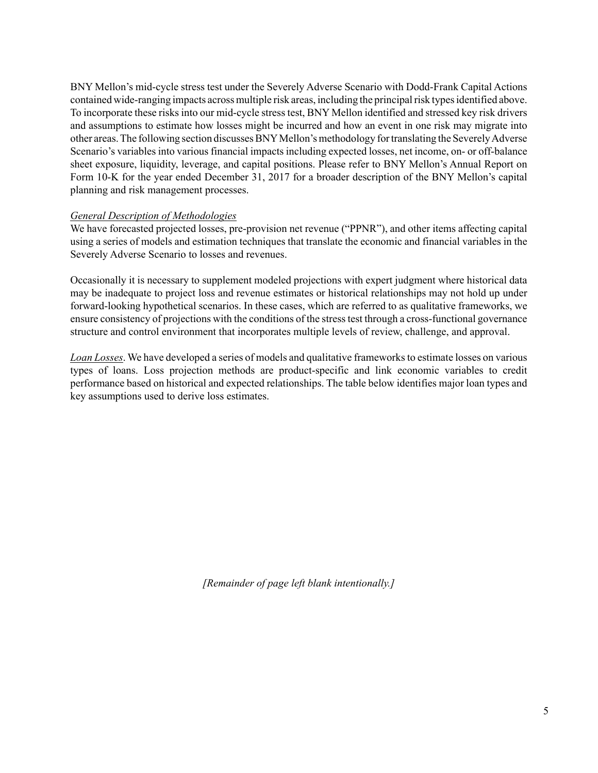BNY Mellon's mid-cycle stress test under the Severely Adverse Scenario with Dodd-Frank Capital Actions contained wide-ranging impacts across multiple risk areas, including the principal risk types identified above. To incorporate these risks into our mid-cycle stress test, BNY Mellon identified and stressed key risk drivers and assumptions to estimate how losses might be incurred and how an event in one risk may migrate into other areas. The following section discusses BNYMellon's methodology for translating the Severely Adverse Scenario's variables into various financial impacts including expected losses, net income, on- or off-balance sheet exposure, liquidity, leverage, and capital positions. Please refer to BNY Mellon's Annual Report on Form 10-K for the year ended December 31, 2017 for a broader description of the BNY Mellon's capital planning and risk management processes.

## *General Description of Methodologies*

We have forecasted projected losses, pre-provision net revenue ("PPNR"), and other items affecting capital using a series of models and estimation techniques that translate the economic and financial variables in the Severely Adverse Scenario to losses and revenues.

Occasionally it is necessary to supplement modeled projections with expert judgment where historical data may be inadequate to project loss and revenue estimates or historical relationships may not hold up under forward-looking hypothetical scenarios. In these cases, which are referred to as qualitative frameworks, we ensure consistency of projections with the conditions of the stress test through a cross-functional governance structure and control environment that incorporates multiple levels of review, challenge, and approval.

*Loan Losses*. We have developed a series of models and qualitative frameworks to estimate losses on various types of loans. Loss projection methods are product-specific and link economic variables to credit performance based on historical and expected relationships. The table below identifies major loan types and key assumptions used to derive loss estimates.

*[Remainder of page left blank intentionally.]*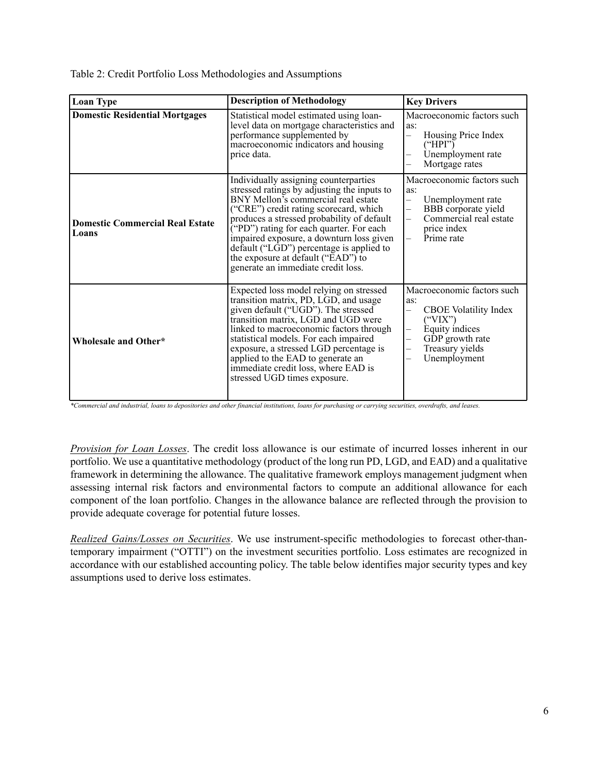Table 2: Credit Portfolio Loss Methodologies and Assumptions

| <b>Loan Type</b>                                | <b>Description of Methodology</b>                                                                                                                                                                                                                                                                                                                                                                                                             | <b>Key Drivers</b>                                                                                                                                                                                                      |
|-------------------------------------------------|-----------------------------------------------------------------------------------------------------------------------------------------------------------------------------------------------------------------------------------------------------------------------------------------------------------------------------------------------------------------------------------------------------------------------------------------------|-------------------------------------------------------------------------------------------------------------------------------------------------------------------------------------------------------------------------|
| <b>Domestic Residential Mortgages</b>           | Statistical model estimated using loan-<br>level data on mortgage characteristics and<br>performance supplemented by<br>macroeconomic indicators and housing<br>price data.                                                                                                                                                                                                                                                                   | Macroeconomic factors such<br>as:<br>Housing Price Index<br>$\overline{\phantom{0}}$<br>("HPI")<br>Unemployment rate<br>Mortgage rates                                                                                  |
| <b>Domestic Commercial Real Estate</b><br>Loans | Individually assigning counterparties<br>stressed ratings by adjusting the inputs to<br>BNY Mellon's commercial real estate<br>("CRE") credit rating scorecard, which<br>produces a stressed probability of default<br>("PD") rating for each quarter. For each<br>impaired exposure, a downturn loss given<br>default (" $L\bar{G}D$ ") percentage is applied to<br>the exposure at default ("EAD") to<br>generate an immediate credit loss. | Macroeconomic factors such<br>as:<br>Unemployment rate<br>$\overline{\phantom{0}}$<br>BBB corporate yield<br>$\overline{\phantom{0}}$<br>Commercial real estate<br>price index<br>Prime rate                            |
| Wholesale and Other*                            | Expected loss model relying on stressed<br>transition matrix, PD, LGD, and usage<br>given default ("UGD"). The stressed<br>transition matrix, LGD and UGD were<br>linked to macroeconomic factors through<br>statistical models. For each impaired<br>exposure, a stressed LGD percentage is<br>applied to the EAD to generate an<br>immediate credit loss, where EAD is<br>stressed UGD times exposure.                                      | Macroeconomic factors such<br>as:<br><b>CBOE</b> Volatility Index<br>$($ "VIX" $)$<br>Equity indices<br>—<br>GDP growth rate<br>$\overline{\phantom{0}}$<br>Treasury yields<br>$\overline{\phantom{0}}$<br>Unemployment |

*\*Commercial and industrial, loans to depositories and other financial institutions, loans for purchasing or carrying securities, overdrafts, and leases.* 

*Provision for Loan Losses*. The credit loss allowance is our estimate of incurred losses inherent in our portfolio. We use a quantitative methodology (product of the long run PD, LGD, and EAD) and a qualitative framework in determining the allowance. The qualitative framework employs management judgment when assessing internal risk factors and environmental factors to compute an additional allowance for each component of the loan portfolio. Changes in the allowance balance are reflected through the provision to provide adequate coverage for potential future losses.

*Realized Gains/Losses on Securities*. We use instrument-specific methodologies to forecast other-thantemporary impairment ("OTTI") on the investment securities portfolio. Loss estimates are recognized in accordance with our established accounting policy. The table below identifies major security types and key assumptions used to derive loss estimates.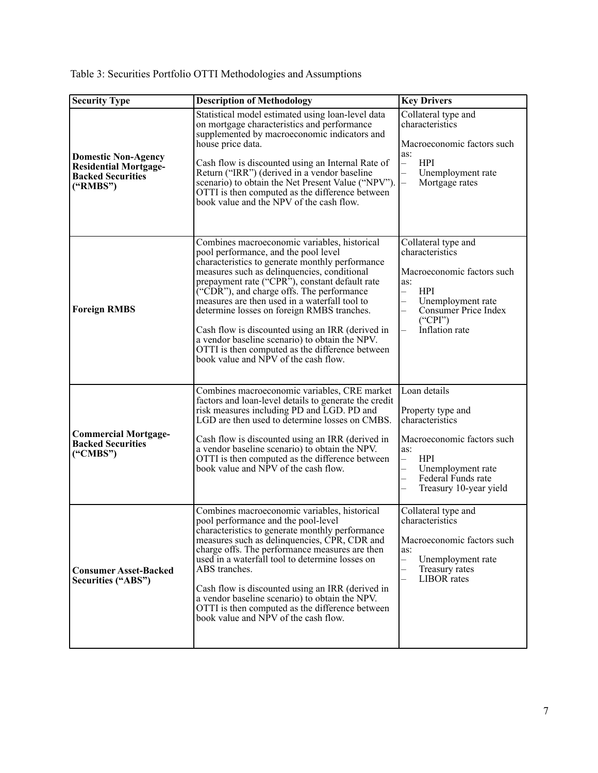| Table 3: Securities Portfolio OTTI Methodologies and Assumptions |  |
|------------------------------------------------------------------|--|
|                                                                  |  |

| <b>Security Type</b>                                                                               | <b>Description of Methodology</b>                                                                                                                                                                                                                                                                                                                                                                                                                                                                                                                                                               | <b>Key Drivers</b>                                                                                                                                                                                                                                      |
|----------------------------------------------------------------------------------------------------|-------------------------------------------------------------------------------------------------------------------------------------------------------------------------------------------------------------------------------------------------------------------------------------------------------------------------------------------------------------------------------------------------------------------------------------------------------------------------------------------------------------------------------------------------------------------------------------------------|---------------------------------------------------------------------------------------------------------------------------------------------------------------------------------------------------------------------------------------------------------|
| <b>Domestic Non-Agency</b><br><b>Residential Mortgage-</b><br><b>Backed Securities</b><br>("RMBS") | Statistical model estimated using loan-level data<br>on mortgage characteristics and performance<br>supplemented by macroeconomic indicators and<br>house price data.<br>Cash flow is discounted using an Internal Rate of<br>Return ("IRR") (derived in a vendor baseline<br>scenario) to obtain the Net Present Value ("NPV").<br>OTTI is then computed as the difference between<br>book value and the NPV of the cash flow.                                                                                                                                                                 | Collateral type and<br>characteristics<br>Macroeconomic factors such<br>as:<br><b>HPI</b><br>$\overline{\phantom{0}}$<br>Unemployment rate<br>$\overline{\phantom{0}}$<br>Mortgage rates                                                                |
| <b>Foreign RMBS</b>                                                                                | Combines macroeconomic variables, historical<br>pool performance, and the pool level<br>characteristics to generate monthly performance<br>measures such as delinquencies, conditional<br>prepayment rate ("CPR"), constant default rate<br>$\tilde{C}$ CDR"), and charge offs. The performance<br>measures are then used in a waterfall tool to<br>determine losses on foreign RMBS tranches.<br>Cash flow is discounted using an IRR (derived in<br>a vendor baseline scenario) to obtain the NPV.<br>OTTI is then computed as the difference between<br>book value and NPV of the cash flow. | Collateral type and<br>characteristics<br>Macroeconomic factors such<br>as:<br><b>HPI</b><br>$\overline{\phantom{0}}$<br>Unemployment rate<br>$\overline{\phantom{a}}$<br>Consumer Price Index<br>("CPI")<br>Inflation rate<br>$\overline{\phantom{0}}$ |
| <b>Commercial Mortgage-</b><br><b>Backed Securities</b><br>("CMBS")                                | Combines macroeconomic variables, CRE market<br>factors and loan-level details to generate the credit<br>risk measures including PD and LGD. PD and<br>LGD are then used to determine losses on CMBS.<br>Cash flow is discounted using an IRR (derived in<br>a vendor baseline scenario) to obtain the NPV.<br>OTTI is then computed as the difference between<br>book value and NPV of the cash flow.                                                                                                                                                                                          | Loan details<br>Property type and<br>characteristics<br>Macroeconomic factors such<br>as:<br><b>HPI</b><br>$\overline{\phantom{0}}$<br>$\overline{a}$<br>Unemployment rate<br>Federal Funds rate<br>$\equiv$<br>Treasury 10-year yield                  |
| <b>Consumer Asset-Backed</b><br>Securities ("ABS")                                                 | Combines macroeconomic variables, historical<br>pool performance and the pool-level<br>characteristics to generate monthly performance<br>measures such as delinquencies, CPR, CDR and<br>charge offs. The performance measures are then<br>used in a waterfall tool to determine losses on<br>ABS tranches.<br>Cash flow is discounted using an IRR (derived in<br>a vendor baseline scenario) to obtain the NPV.<br>OTTI is then computed as the difference between<br>book value and NPV of the cash flow.                                                                                   | Collateral type and<br>characteristics<br>Macroeconomic factors such<br>as:<br>Unemployment rate<br>—<br>$\overline{\phantom{a}}$<br>Treasury rates<br>$\equiv$<br>LIBOR rates                                                                          |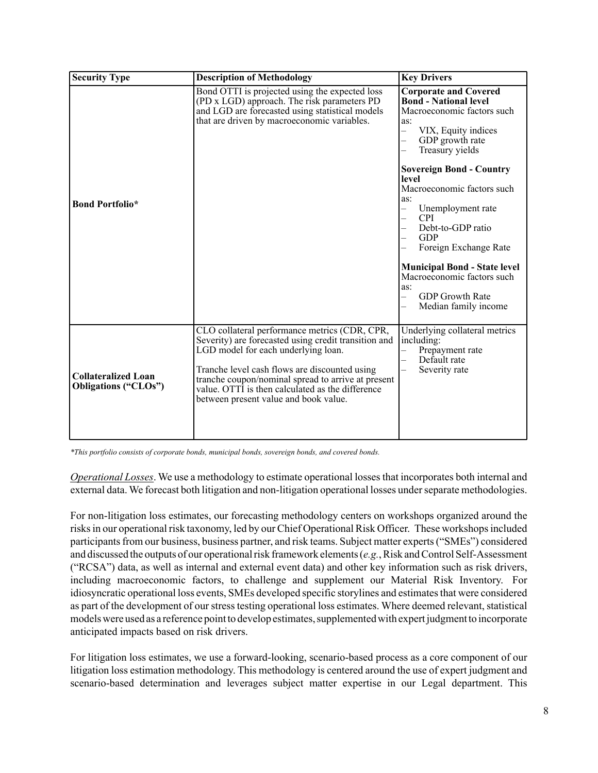| <b>Security Type</b>                                      | <b>Description of Methodology</b>                                                                                                                                                                                                                                                                                                                | <b>Key Drivers</b>                                                                                                                                                                                                                                                                                                                                                                                                                                                                                                                                                                                                                                               |
|-----------------------------------------------------------|--------------------------------------------------------------------------------------------------------------------------------------------------------------------------------------------------------------------------------------------------------------------------------------------------------------------------------------------------|------------------------------------------------------------------------------------------------------------------------------------------------------------------------------------------------------------------------------------------------------------------------------------------------------------------------------------------------------------------------------------------------------------------------------------------------------------------------------------------------------------------------------------------------------------------------------------------------------------------------------------------------------------------|
| <b>Bond Portfolio*</b>                                    | Bond OTTI is projected using the expected loss<br>(PD x LGD) approach. The risk parameters PD<br>and LGD are forecasted using statistical models<br>that are driven by macroeconomic variables.                                                                                                                                                  | <b>Corporate and Covered</b><br><b>Bond - National level</b><br>Macroeconomic factors such<br>as:<br>VIX, Equity indices<br>$\overline{\phantom{0}}$<br>GDP growth rate<br>$\equiv$<br>Treasury yields<br>$\overline{\phantom{0}}$<br><b>Sovereign Bond - Country</b><br>level<br>Macroeconomic factors such<br>as:<br>Unemployment rate<br>$\overline{\phantom{0}}$<br><b>CPI</b><br>$\overline{\phantom{0}}$<br>Debt-to-GDP ratio<br><b>GDP</b><br>$\overline{\phantom{0}}$<br>Foreign Exchange Rate<br><b>Municipal Bond - State level</b><br>Macroeconomic factors such<br>as:<br><b>GDP</b> Growth Rate<br>$\overline{\phantom{0}}$<br>Median family income |
| <b>Collateralized Loan</b><br><b>Obligations ("CLOs")</b> | CLO collateral performance metrics (CDR, CPR,<br>Severity) are forecasted using credit transition and<br>LGD model for each underlying loan.<br>Tranche level cash flows are discounted using<br>tranche coupon/nominal spread to arrive at present<br>value. OTTI is then calculated as the difference<br>between present value and book value. | Underlying collateral metrics<br>including:<br>Prepayment rate<br>Default rate<br>Severity rate                                                                                                                                                                                                                                                                                                                                                                                                                                                                                                                                                                  |

*\*This portfolio consists of corporate bonds, municipal bonds, sovereign bonds, and covered bonds.* 

*Operational Losses*. We use a methodology to estimate operational losses that incorporates both internal and external data. We forecast both litigation and non-litigation operational losses under separate methodologies.

For non-litigation loss estimates, our forecasting methodology centers on workshops organized around the risks in our operational risk taxonomy, led by our Chief Operational Risk Officer. These workshops included participants from our business, business partner, and risk teams. Subject matter experts ("SMEs") considered and discussed the outputs of our operational risk framework elements (*e.g.*, Risk and Control Self-Assessment ("RCSA") data, as well as internal and external event data) and other key information such as risk drivers, including macroeconomic factors, to challenge and supplement our Material Risk Inventory. For idiosyncratic operational loss events, SMEs developed specific storylines and estimates that were considered as part of the development of our stress testing operational loss estimates. Where deemed relevant, statistical models were used as a reference point to develop estimates, supplemented with expert judgment to incorporate anticipated impacts based on risk drivers.

For litigation loss estimates, we use a forward-looking, scenario-based process as a core component of our litigation loss estimation methodology. This methodology is centered around the use of expert judgment and scenario-based determination and leverages subject matter expertise in our Legal department. This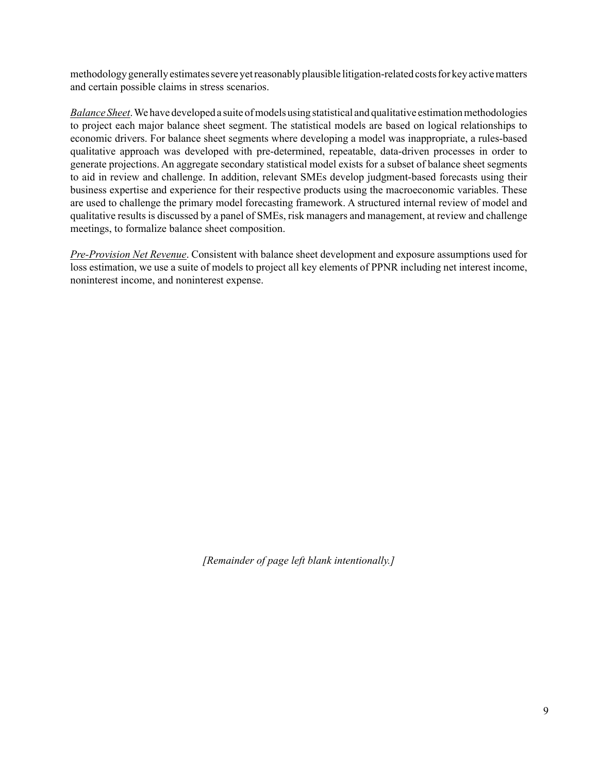methodology generally estimates severe yet reasonably plausible litigation-related costs for key active matters and certain possible claims in stress scenarios.

*Balance Sheet*. We have developed a suite of models using statistical and qualitative estimation methodologies to project each major balance sheet segment. The statistical models are based on logical relationships to economic drivers. For balance sheet segments where developing a model was inappropriate, a rules-based qualitative approach was developed with pre-determined, repeatable, data-driven processes in order to generate projections. An aggregate secondary statistical model exists for a subset of balance sheet segments to aid in review and challenge. In addition, relevant SMEs develop judgment-based forecasts using their business expertise and experience for their respective products using the macroeconomic variables. These are used to challenge the primary model forecasting framework. A structured internal review of model and qualitative results is discussed by a panel of SMEs, risk managers and management, at review and challenge meetings, to formalize balance sheet composition.

*Pre-Provision Net Revenue*. Consistent with balance sheet development and exposure assumptions used for loss estimation, we use a suite of models to project all key elements of PPNR including net interest income, noninterest income, and noninterest expense.

*[Remainder of page left blank intentionally.]*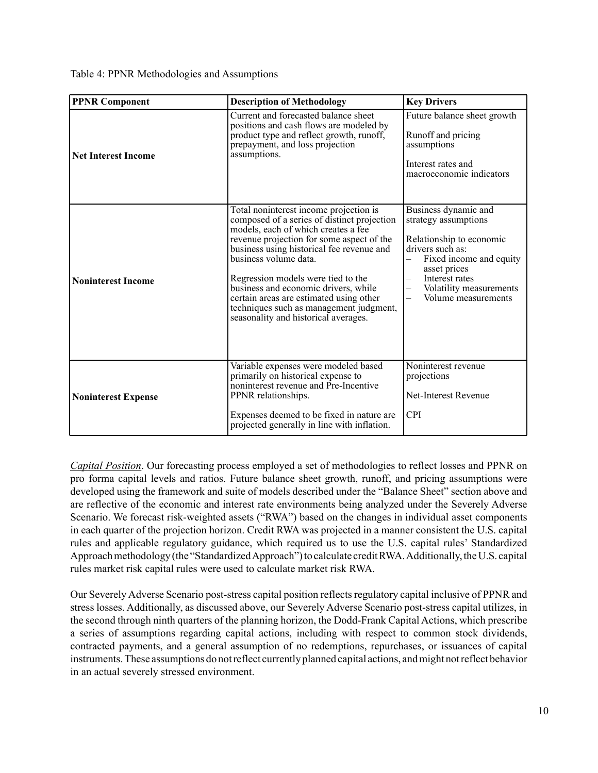Table 4: PPNR Methodologies and Assumptions

| <b>PPNR Component</b>      | <b>Description of Methodology</b>                                                                                                                                                                                                                                                                                                                                                                                                                           | <b>Key Drivers</b>                                                                                                                                                                                                                      |
|----------------------------|-------------------------------------------------------------------------------------------------------------------------------------------------------------------------------------------------------------------------------------------------------------------------------------------------------------------------------------------------------------------------------------------------------------------------------------------------------------|-----------------------------------------------------------------------------------------------------------------------------------------------------------------------------------------------------------------------------------------|
| <b>Net Interest Income</b> | Current and forecasted balance sheet<br>positions and cash flows are modeled by<br>product type and reflect growth, runoff,<br>prepayment, and loss projection<br>assumptions.                                                                                                                                                                                                                                                                              | Future balance sheet growth<br>Runoff and pricing<br>assumptions<br>Interest rates and<br>macroeconomic indicators                                                                                                                      |
| <b>Noninterest Income</b>  | Total noninterest income projection is<br>composed of a series of distinct projection<br>models, each of which creates a fee<br>revenue projection for some aspect of the<br>business using historical fee revenue and<br>business volume data.<br>Regression models were tied to the<br>business and economic drivers, while<br>certain areas are estimated using other<br>techniques such as management judgment,<br>seasonality and historical averages. | Business dynamic and<br>strategy assumptions<br>Relationship to economic<br>drivers such as:<br>Fixed income and equity<br>$\overline{\phantom{0}}$<br>asset prices<br>Interest rates<br>Volatility measurements<br>Volume measurements |
| <b>Noninterest Expense</b> | Variable expenses were modeled based<br>primarily on historical expense to<br>noninterest revenue and Pre-Incentive<br>PPNR relationships.<br>Expenses deemed to be fixed in nature are<br>projected generally in line with inflation.                                                                                                                                                                                                                      | Noninterest revenue<br>projections<br><b>Net-Interest Revenue</b><br><b>CPI</b>                                                                                                                                                         |

*Capital Position*. Our forecasting process employed a set of methodologies to reflect losses and PPNR on pro forma capital levels and ratios. Future balance sheet growth, runoff, and pricing assumptions were developed using the framework and suite of models described under the "Balance Sheet" section above and are reflective of the economic and interest rate environments being analyzed under the Severely Adverse Scenario. We forecast risk-weighted assets ("RWA") based on the changes in individual asset components in each quarter of the projection horizon. Credit RWA was projected in a manner consistent the U.S. capital rules and applicable regulatory guidance, which required us to use the U.S. capital rules' Standardized Approach methodology (the "Standardized Approach") to calculate credit RWA. Additionally, the U.S. capital rules market risk capital rules were used to calculate market risk RWA.

Our Severely Adverse Scenario post-stress capital position reflects regulatory capital inclusive of PPNR and stress losses. Additionally, as discussed above, our Severely Adverse Scenario post-stress capital utilizes, in the second through ninth quarters of the planning horizon, the Dodd-Frank Capital Actions, which prescribe a series of assumptions regarding capital actions, including with respect to common stock dividends, contracted payments, and a general assumption of no redemptions, repurchases, or issuances of capital instruments. These assumptions do not reflect currently planned capital actions, and might not reflect behavior in an actual severely stressed environment.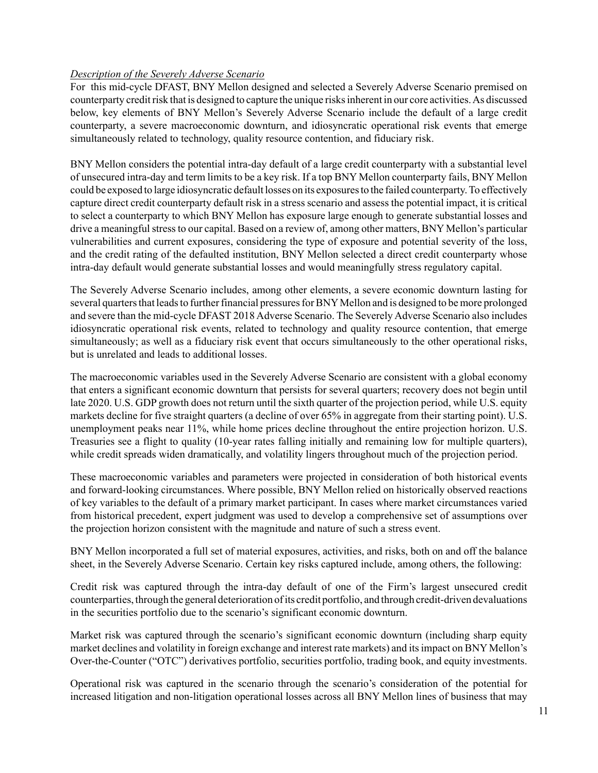# *Description of the Severely Adverse Scenario*

For this mid-cycle DFAST, BNY Mellon designed and selected a Severely Adverse Scenario premised on counterparty credit risk that is designed to capture the unique risks inherent in our core activities. As discussed below, key elements of BNY Mellon's Severely Adverse Scenario include the default of a large credit counterparty, a severe macroeconomic downturn, and idiosyncratic operational risk events that emerge simultaneously related to technology, quality resource contention, and fiduciary risk.

BNY Mellon considers the potential intra-day default of a large credit counterparty with a substantial level of unsecured intra-day and term limits to be a key risk. If a top BNY Mellon counterparty fails, BNY Mellon could be exposed to large idiosyncratic default losses on its exposures to the failed counterparty. To effectively capture direct credit counterparty default risk in a stress scenario and assess the potential impact, it is critical to select a counterparty to which BNY Mellon has exposure large enough to generate substantial losses and drive a meaningful stress to our capital. Based on a review of, among other matters, BNY Mellon's particular vulnerabilities and current exposures, considering the type of exposure and potential severity of the loss, and the credit rating of the defaulted institution, BNY Mellon selected a direct credit counterparty whose intra-day default would generate substantial losses and would meaningfully stress regulatory capital.

The Severely Adverse Scenario includes, among other elements, a severe economic downturn lasting for several quarters that leads to further financial pressures for BNY Mellon and is designed to be more prolonged and severe than the mid-cycle DFAST 2018 Adverse Scenario. The Severely Adverse Scenario also includes idiosyncratic operational risk events, related to technology and quality resource contention, that emerge simultaneously; as well as a fiduciary risk event that occurs simultaneously to the other operational risks, but is unrelated and leads to additional losses.

The macroeconomic variables used in the Severely Adverse Scenario are consistent with a global economy that enters a significant economic downturn that persists for several quarters; recovery does not begin until late 2020. U.S. GDP growth does not return until the sixth quarter of the projection period, while U.S. equity markets decline for five straight quarters (a decline of over 65% in aggregate from their starting point). U.S. unemployment peaks near 11%, while home prices decline throughout the entire projection horizon. U.S. Treasuries see a flight to quality (10-year rates falling initially and remaining low for multiple quarters), while credit spreads widen dramatically, and volatility lingers throughout much of the projection period.

These macroeconomic variables and parameters were projected in consideration of both historical events and forward-looking circumstances. Where possible, BNY Mellon relied on historically observed reactions of key variables to the default of a primary market participant. In cases where market circumstances varied from historical precedent, expert judgment was used to develop a comprehensive set of assumptions over the projection horizon consistent with the magnitude and nature of such a stress event.

BNY Mellon incorporated a full set of material exposures, activities, and risks, both on and off the balance sheet, in the Severely Adverse Scenario. Certain key risks captured include, among others, the following:

Credit risk was captured through the intra-day default of one of the Firm's largest unsecured credit counterparties, through the general deterioration of its credit portfolio, and through credit-driven devaluations in the securities portfolio due to the scenario's significant economic downturn.

Market risk was captured through the scenario's significant economic downturn (including sharp equity market declines and volatility in foreign exchange and interest rate markets) and its impact on BNY Mellon's Over-the-Counter ("OTC") derivatives portfolio, securities portfolio, trading book, and equity investments.

Operational risk was captured in the scenario through the scenario's consideration of the potential for increased litigation and non-litigation operational losses across all BNY Mellon lines of business that may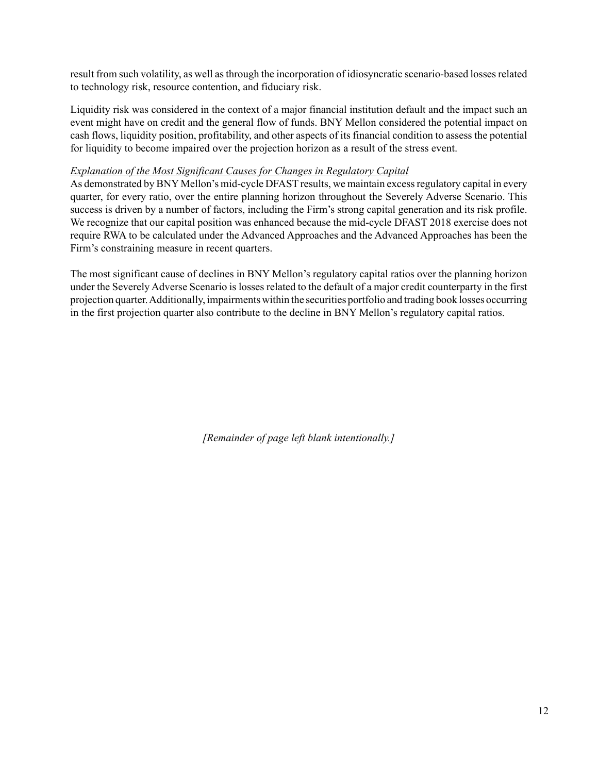result from such volatility, as well as through the incorporation of idiosyncratic scenario-based losses related to technology risk, resource contention, and fiduciary risk.

Liquidity risk was considered in the context of a major financial institution default and the impact such an event might have on credit and the general flow of funds. BNY Mellon considered the potential impact on cash flows, liquidity position, profitability, and other aspects of its financial condition to assess the potential for liquidity to become impaired over the projection horizon as a result of the stress event.

# *Explanation of the Most Significant Causes for Changes in Regulatory Capital*

As demonstrated by BNY Mellon's mid-cycle DFAST results, we maintain excess regulatory capital in every quarter, for every ratio, over the entire planning horizon throughout the Severely Adverse Scenario. This success is driven by a number of factors, including the Firm's strong capital generation and its risk profile. We recognize that our capital position was enhanced because the mid-cycle DFAST 2018 exercise does not require RWA to be calculated under the Advanced Approaches and the Advanced Approaches has been the Firm's constraining measure in recent quarters.

The most significant cause of declines in BNY Mellon's regulatory capital ratios over the planning horizon under the Severely Adverse Scenario is losses related to the default of a major credit counterparty in the first projection quarter. Additionally, impairments within the securities portfolio and trading book losses occurring in the first projection quarter also contribute to the decline in BNY Mellon's regulatory capital ratios.

*[Remainder of page left blank intentionally.]*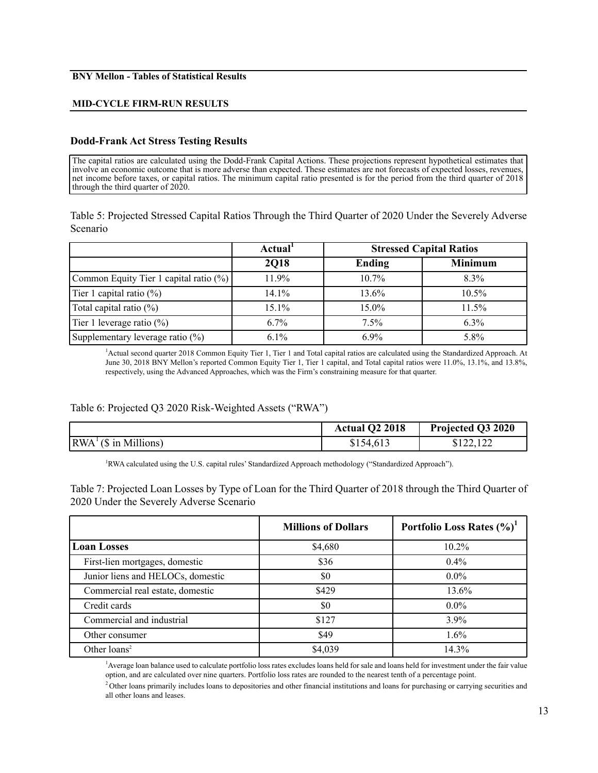#### **BNY Mellon - Tables of Statistical Results**

#### **MID-CYCLE FIRM-RUN RESULTS**

#### **Dodd-Frank Act Stress Testing Results**

The capital ratios are calculated using the Dodd-Frank Capital Actions. These projections represent hypothetical estimates that involve an economic outcome that is more adverse than expected. These estimates are not forecasts of expected losses, revenues, net income before taxes, or capital ratios. The minimum capital ratio presented is for the period from the third quarter of 2018 through the third quarter of 2020.

Table 5: Projected Stressed Capital Ratios Through the Third Quarter of 2020 Under the Severely Adverse Scenario

|                                        | Actual <sup>1</sup> |          | <b>Stressed Capital Ratios</b> |
|----------------------------------------|---------------------|----------|--------------------------------|
|                                        | <b>2018</b>         | Ending   | <b>Minimum</b>                 |
| Common Equity Tier 1 capital ratio (%) | 11.9%               | $10.7\%$ | $8.3\%$                        |
| Tier 1 capital ratio $(\%)$            | 14.1%               | 13.6%    | 10.5%                          |
| Total capital ratio $(\%)$             | 15.1%               | $15.0\%$ | 11.5%                          |
| Tier 1 leverage ratio $(\%)$           | $6.7\%$             | 7.5%     | $6.3\%$                        |
| Supplementary leverage ratio (%)       | $6.1\%$             | $6.9\%$  | 5.8%                           |

1 Actual second quarter 2018 Common Equity Tier 1, Tier 1 and Total capital ratios are calculated using the Standardized Approach. At June 30, 2018 BNY Mellon's reported Common Equity Tier 1, Tier 1 capital, and Total capital ratios were 11.0%, 13.1%, and 13.8%, respectively, using the Advanced Approaches, which was the Firm's constraining measure for that quarter.

## Table 6: Projected Q3 2020 Risk-Weighted Assets ("RWA")

|                                                  | Actual Q2 2018 | Projected Q3 2020 |
|--------------------------------------------------|----------------|-------------------|
| $\vert RWA^{\perp}(\$ \text{ in Millions})\vert$ | \$154,613      | \$122,122         |

<sup>1</sup>RWA calculated using the U.S. capital rules' Standardized Approach methodology ("Standardized Approach").

Table 7: Projected Loan Losses by Type of Loan for the Third Quarter of 2018 through the Third Quarter of 2020 Under the Severely Adverse Scenario

|                                   | <b>Millions of Dollars</b> | Portfolio Loss Rates $(\%)^1$ |
|-----------------------------------|----------------------------|-------------------------------|
| <b>Loan Losses</b>                | \$4,680                    | $10.2\%$                      |
| First-lien mortgages, domestic    | \$36                       | $0.4\%$                       |
| Junior liens and HELOCs, domestic | \$0                        | $0.0\%$                       |
| Commercial real estate, domestic  | \$429                      | 13.6%                         |
| Credit cards                      | \$0                        | $0.0\%$                       |
| Commercial and industrial         | \$127                      | $3.9\%$                       |
| Other consumer                    | \$49                       | $1.6\%$                       |
| Other $loans2$                    | \$4,039                    | 14.3%                         |

1 Average loan balance used to calculate portfolio loss rates excludes loans held for sale and loans held for investment under the fair value option, and are calculated over nine quarters. Portfolio loss rates are rounded to the nearest tenth of a percentage point.

 $<sup>2</sup>$  Other loans primarily includes loans to depositories and other financial institutions and loans for purchasing or carrying securities and</sup> all other loans and leases.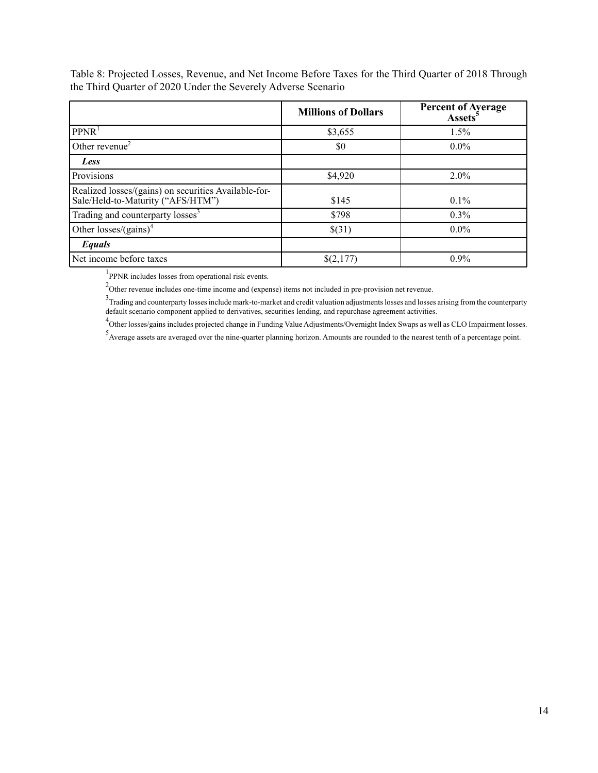|                                                                                           | <b>Millions of Dollars</b> | <b>Percent of Average</b><br>Assets <sup>5</sup> |
|-------------------------------------------------------------------------------------------|----------------------------|--------------------------------------------------|
| PPNR <sup>1</sup>                                                                         | \$3,655                    | $1.5\%$                                          |
| Other revenue <sup><math>\angle</math></sup>                                              | \$0                        | $0.0\%$                                          |
| Less                                                                                      |                            |                                                  |
| Provisions                                                                                | \$4,920                    | $2.0\%$                                          |
| Realized losses/(gains) on securities Available-for-<br>Sale/Held-to-Maturity ("AFS/HTM") | \$145                      | $0.1\%$                                          |
| Trading and counterparty losses <sup>3</sup>                                              | \$798                      | $0.3\%$                                          |
| Other losses/ $(gains)^4$                                                                 | \$(31)                     | $0.0\%$                                          |
| Equals                                                                                    |                            |                                                  |
| Net income before taxes                                                                   | \$(2,177)                  | $0.9\%$                                          |

Table 8: Projected Losses, Revenue, and Net Income Before Taxes for the Third Quarter of 2018 Through the Third Quarter of 2020 Under the Severely Adverse Scenario

<sup>1</sup>PPNR includes losses from operational risk events.

 $2$ Other revenue includes one-time income and (expense) items not included in pre-provision net revenue.

~Other revenue includes one-time income and (expense) items not included in pre-provision net revenue.<br><sup>3</sup>Trading and counterparty losses include mark-to-market and credit valuation adjustments losses and losses arising fr default scenario component applied to derivatives, securities lending, and repurchase agreement activities.

<sup>4</sup>Other losses/gains includes projected change in Funding Value Adjustments/Overnight Index Swaps as well as CLO Impairment losses.

5 Average assets are averaged over the nine-quarter planning horizon. Amounts are rounded to the nearest tenth of a percentage point.